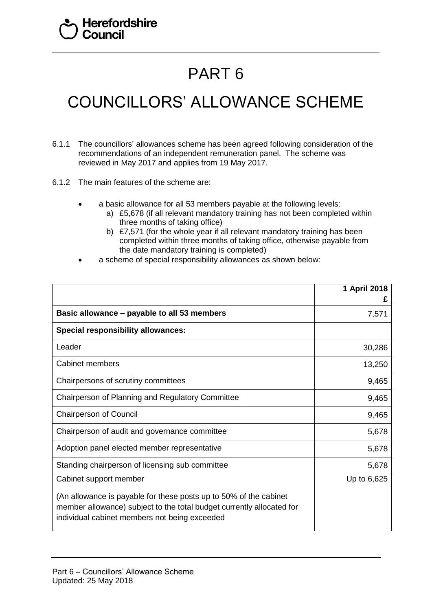## PART 6

## COUNCILLORS' ALLOWANCE SCHEME

- 6.1.1 The councillors' allowances scheme has been agreed following consideration of the recommendations of an independent remuneration panel. The scheme was reviewed in May 2017 and applies from 19 May 2017.
- 6.1.2 The main features of the scheme are:
	- a basic allowance for all 53 members payable at the following levels:
		- a) £5,678 (if all relevant mandatory training has not been completed within three months of taking office)
		- b) £7,571 (for the whole year if all relevant mandatory training has been completed within three months of taking office, otherwise payable from the date mandatory training is completed)
	- a scheme of special responsibility allowances as shown below:

|                                                                                                                                                                                             | 1 April 2018<br>£ |
|---------------------------------------------------------------------------------------------------------------------------------------------------------------------------------------------|-------------------|
| Basic allowance – payable to all 53 members                                                                                                                                                 | 7,571             |
| <b>Special responsibility allowances:</b>                                                                                                                                                   |                   |
| Leader                                                                                                                                                                                      | 30,286            |
| <b>Cabinet members</b>                                                                                                                                                                      | 13,250            |
| Chairpersons of scrutiny committees                                                                                                                                                         | 9,465             |
| Chairperson of Planning and Regulatory Committee                                                                                                                                            | 9,465             |
| <b>Chairperson of Council</b>                                                                                                                                                               | 9,465             |
| Chairperson of audit and governance committee                                                                                                                                               | 5,678             |
| Adoption panel elected member representative                                                                                                                                                | 5,678             |
| Standing chairperson of licensing sub committee                                                                                                                                             | 5,678             |
| Cabinet support member                                                                                                                                                                      | Up to 6,625       |
| (An allowance is payable for these posts up to 50% of the cabinet<br>member allowance) subject to the total budget currently allocated for<br>individual cabinet members not being exceeded |                   |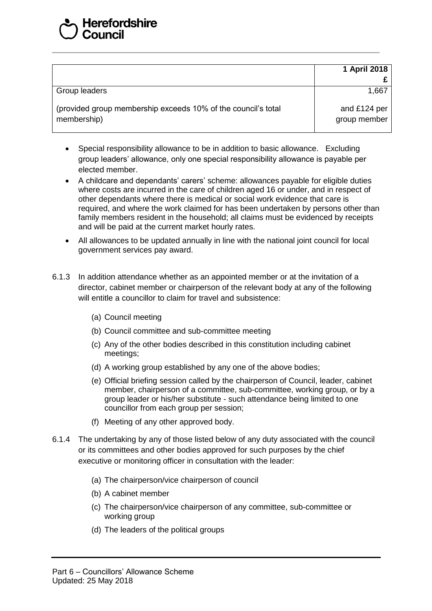|                                                                              | 1 April 2018                 |
|------------------------------------------------------------------------------|------------------------------|
| Group leaders                                                                | 1,667                        |
| (provided group membership exceeds 10% of the council's total<br>membership) | and £124 per<br>group member |

- Special responsibility allowance to be in addition to basic allowance. Excluding group leaders' allowance, only one special responsibility allowance is payable per elected member.
- A childcare and dependants' carers' scheme: allowances payable for eligible duties where costs are incurred in the care of children aged 16 or under, and in respect of other dependants where there is medical or social work evidence that care is required, and where the work claimed for has been undertaken by persons other than family members resident in the household; all claims must be evidenced by receipts and will be paid at the current market hourly rates.
- All allowances to be updated annually in line with the national joint council for local government services pay award.
- 6.1.3 In addition attendance whether as an appointed member or at the invitation of a director, cabinet member or chairperson of the relevant body at any of the following will entitle a councillor to claim for travel and subsistence:
	- (a) Council meeting
	- (b) Council committee and sub-committee meeting
	- (c) Any of the other bodies described in this constitution including cabinet meetings;
	- (d) A working group established by any one of the above bodies;
	- (e) Official briefing session called by the chairperson of Council, leader, cabinet member, chairperson of a committee, sub-committee, working group, or by a group leader or his/her substitute - such attendance being limited to one councillor from each group per session;
	- (f) Meeting of any other approved body.
- 6.1.4 The undertaking by any of those listed below of any duty associated with the council or its committees and other bodies approved for such purposes by the chief executive or monitoring officer in consultation with the leader:
	- (a) The chairperson/vice chairperson of council
	- (b) A cabinet member
	- (c) The chairperson/vice chairperson of any committee, sub-committee or working group
	- (d) The leaders of the political groups